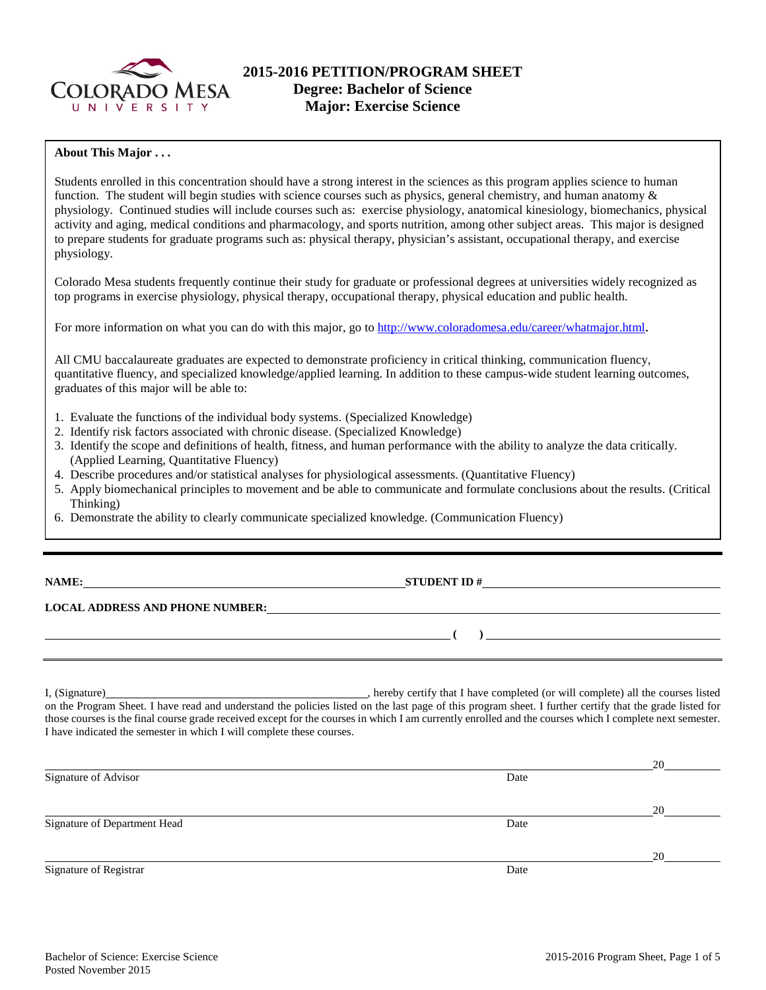

### **About This Major . . .**

Students enrolled in this concentration should have a strong interest in the sciences as this program applies science to human function. The student will begin studies with science courses such as physics, general chemistry, and human anatomy  $\&$ physiology. Continued studies will include courses such as: exercise physiology, anatomical kinesiology, biomechanics, physical activity and aging, medical conditions and pharmacology, and sports nutrition, among other subject areas. This major is designed to prepare students for graduate programs such as: physical therapy, physician's assistant, occupational therapy, and exercise physiology.

Colorado Mesa students frequently continue their study for graduate or professional degrees at universities widely recognized as top programs in exercise physiology, physical therapy, occupational therapy, physical education and public health.

For more information on what you can do with this major, go to [http://www.coloradomesa.edu/career/whatmajor.html.](http://www.coloradomesa.edu/career/whatmajor.html)

All CMU baccalaureate graduates are expected to demonstrate proficiency in critical thinking, communication fluency, quantitative fluency, and specialized knowledge/applied learning. In addition to these campus-wide student learning outcomes, graduates of this major will be able to:

- 1. Evaluate the functions of the individual body systems. (Specialized Knowledge)
- 2. Identify risk factors associated with chronic disease. (Specialized Knowledge)
- 3. Identify the scope and definitions of health, fitness, and human performance with the ability to analyze the data critically. (Applied Learning, Quantitative Fluency)
- 4. Describe procedures and/or statistical analyses for physiological assessments. (Quantitative Fluency)
- 5. Apply biomechanical principles to movement and be able to communicate and formulate conclusions about the results. (Critical Thinking)
- 6. Demonstrate the ability to clearly communicate specialized knowledge. (Communication Fluency)

| ıА | .MF |  | ٠ |
|----|-----|--|---|
|    |     |  |   |

**NAMES IN STUDENT ID #** 

**( )** 

# **LOCAL ADDRESS AND PHONE NUMBER:**

I, (Signature) **Source 2008** (Signature) **, hereby certify that I have completed** (or will complete) all the courses listed on the Program Sheet. I have read and understand the policies listed on the last page of this program sheet. I further certify that the grade listed for those courses is the final course grade received except for the courses in which I am currently enrolled and the courses which I complete next semester. I have indicated the semester in which I will complete these courses.

|                              |      | 20 |
|------------------------------|------|----|
| Signature of Advisor         | Date |    |
|                              |      |    |
|                              |      | 20 |
| Signature of Department Head | Date |    |
|                              |      |    |
|                              |      | 20 |
| Signature of Registrar       | Date |    |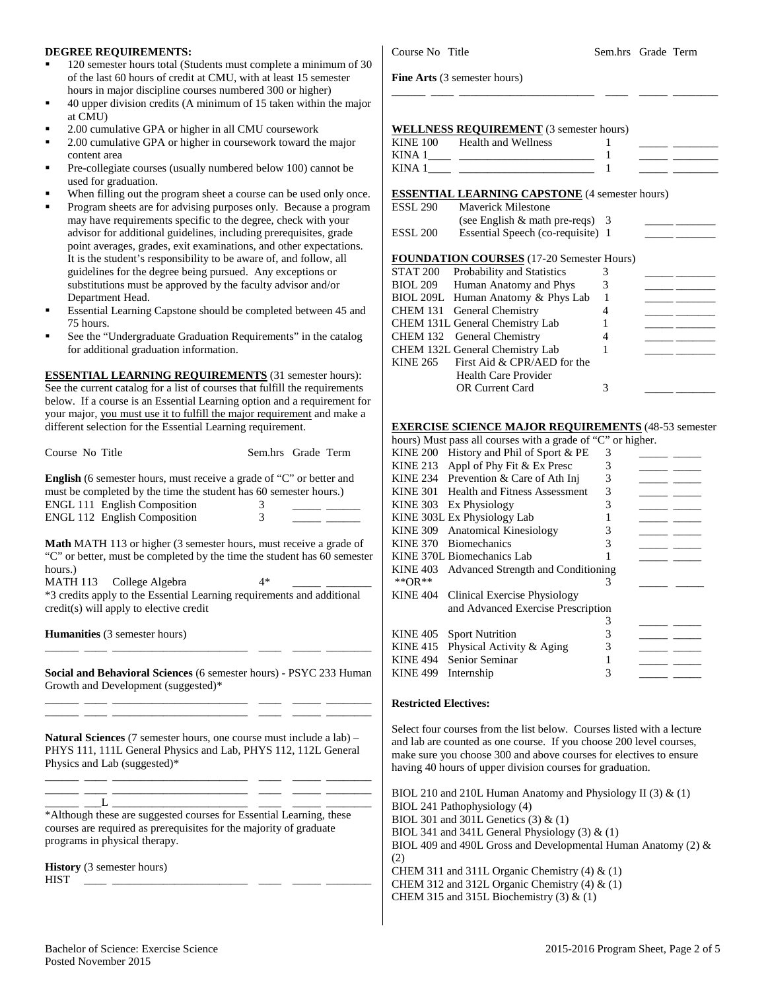#### **DEGREE REQUIREMENTS:**

- 120 semester hours total (Students must complete a minimum of 30 of the last 60 hours of credit at CMU, with at least 15 semester hours in major discipline courses numbered 300 or higher)
- 40 upper division credits (A minimum of 15 taken within the major at CMU)
- 2.00 cumulative GPA or higher in all CMU coursework
- 2.00 cumulative GPA or higher in coursework toward the major content area
- Pre-collegiate courses (usually numbered below 100) cannot be used for graduation.
- When filling out the program sheet a course can be used only once.
- Program sheets are for advising purposes only. Because a program may have requirements specific to the degree, check with your advisor for additional guidelines, including prerequisites, grade point averages, grades, exit examinations, and other expectations. It is the student's responsibility to be aware of, and follow, all guidelines for the degree being pursued. Any exceptions or substitutions must be approved by the faculty advisor and/or Department Head.
- Essential Learning Capstone should be completed between 45 and 75 hours.
- See the "Undergraduate Graduation Requirements" in the catalog for additional graduation information.

**ESSENTIAL LEARNING REQUIREMENTS** (31 semester hours): See the current catalog for a list of courses that fulfill the requirements below. If a course is an Essential Learning option and a requirement for your major, you must use it to fulfill the major requirement and make a different selection for the Essential Learning requirement.

| Course No Title                                                                                                                                                                  | Sem.hrs Grade Term |
|----------------------------------------------------------------------------------------------------------------------------------------------------------------------------------|--------------------|
| <b>English</b> (6 semester hours, must receive a grade of "C" or better and<br>must be completed by the time the student has 60 semester hours.)<br>ENGL 111 English Composition |                    |
| ENGL 112 English Composition                                                                                                                                                     | 3                  |
| <b>Math</b> MATH 113 or higher (3 semester hours, must receive a grade of<br>"C" or better, must be completed by the time the student has 60 semester<br>hours.)                 |                    |
| MATH 113 College Algebra                                                                                                                                                         | 4*                 |
| *3 credits apply to the Essential Learning requirements and additional<br>credit(s) will apply to elective credit                                                                |                    |
|                                                                                                                                                                                  |                    |
| <b>Humanities</b> (3 semester hours)<br>Social and Behavioral Sciences (6 semester hours) - PSYC 233 Human                                                                       |                    |
| Growth and Development (suggested)*                                                                                                                                              |                    |
| <b>Natural Sciences</b> (7 semester hours, one course must include a lab) –<br>PHYS 111, 111L General Physics and Lab, PHYS 112, 112L General<br>Physics and Lab (suggested)*    |                    |
|                                                                                                                                                                                  |                    |
| L<br>*Although these are suggested courses for Essential Learning, these<br>courses are required as prerequisites for the majority of graduate<br>programs in physical therapy.  |                    |

**Fine Arts** (3 semester hours)

### **WELLNESS REQUIREMENT** (3 semester hours)

| <b>KINE 100</b> | Health and Wellness |  |  |
|-----------------|---------------------|--|--|
| KINA.           |                     |  |  |
| KINA            |                     |  |  |

\_\_\_\_\_\_ \_\_\_\_ \_\_\_\_\_\_\_\_\_\_\_\_\_\_\_\_\_\_\_\_\_\_\_\_ \_\_\_\_ \_\_\_\_\_ \_\_\_\_\_\_\_\_

#### **ESSENTIAL LEARNING CAPSTONE** (4 semester hours)

| ESSL 290            | <b>Maverick Milestone</b>         |  |
|---------------------|-----------------------------------|--|
|                     | (see English $&$ math pre-reqs) 3 |  |
| ESSL <sub>200</sub> | Essential Speech (co-requisite) 1 |  |

#### **FOUNDATION COURSES** (17-20 Semester Hours)

|          | STAT 200 Probability and Statistics |   |  |
|----------|-------------------------------------|---|--|
|          | BIOL 209 Human Anatomy and Phys     | 3 |  |
|          | BIOL 209L Human Anatomy & Phys Lab  |   |  |
|          | CHEM 131 General Chemistry          |   |  |
|          | CHEM 131L General Chemistry Lab     |   |  |
|          | CHEM 132 General Chemistry          |   |  |
|          | CHEM 132L General Chemistry Lab     |   |  |
| KINE 265 | First Aid & CPR/AED for the         |   |  |
|          | <b>Health Care Provider</b>         |   |  |
|          | <b>OR Current Card</b>              | 3 |  |
|          |                                     |   |  |

### **EXERCISE SCIENCE MAJOR REQUIREMENTS** (48-53 semester

| hours) Must pass all courses with a grade of "C" or higher. |                                             |   |  |  |  |  |
|-------------------------------------------------------------|---------------------------------------------|---|--|--|--|--|
| <b>KINE 200</b>                                             | History and Phil of Sport & PE              | 3 |  |  |  |  |
| <b>KINE 213</b>                                             | Appl of Phy Fit & Ex Presc                  | 3 |  |  |  |  |
| KINE 234                                                    | Prevention & Care of Ath Inj                | 3 |  |  |  |  |
| KINE 301                                                    | <b>Health and Fitness Assessment</b>        | 3 |  |  |  |  |
|                                                             | KINE 303 Ex Physiology                      | 3 |  |  |  |  |
|                                                             | KINE 303L Ex Physiology Lab                 |   |  |  |  |  |
| KINE 309                                                    | <b>Anatomical Kinesiology</b>               | 3 |  |  |  |  |
| <b>KINE 370</b>                                             | <b>Biomechanics</b>                         | 3 |  |  |  |  |
|                                                             | KINE 370L Biomechanics Lab                  |   |  |  |  |  |
|                                                             | KINE 403 Advanced Strength and Conditioning |   |  |  |  |  |
| **OR**                                                      |                                             | 3 |  |  |  |  |
| <b>KINE 404</b>                                             | Clinical Exercise Physiology                |   |  |  |  |  |
|                                                             | and Advanced Exercise Prescription          |   |  |  |  |  |
|                                                             |                                             | 3 |  |  |  |  |
| <b>KINE 405</b>                                             | <b>Sport Nutrition</b>                      | 3 |  |  |  |  |
| <b>KINE 415</b>                                             | Physical Activity & Aging                   | 3 |  |  |  |  |
| <b>KINE 494</b>                                             | Senior Seminar                              |   |  |  |  |  |
| <b>KINE 499</b>                                             | Internship                                  | 3 |  |  |  |  |

#### **Restricted Electives:**

Select four courses from the list below. Courses listed with a lecture and lab are counted as one course. If you choose 200 level courses, make sure you choose 300 and above courses for electives to ensure having 40 hours of upper division courses for graduation.

| BIOL 210 and 210L Human Anatomy and Physiology II (3) $\&$ (1)   |
|------------------------------------------------------------------|
| BIOL 241 Pathophysiology (4)                                     |
| BIOL 301 and 301L Genetics $(3)$ & $(1)$                         |
| BIOL 341 and 341L General Physiology $(3)$ & $(1)$               |
| BIOL 409 and 490L Gross and Developmental Human Anatomy (2) $\&$ |
| (2)                                                              |
| CHEM 311 and 311L Organic Chemistry $(4)$ & $(1)$                |
| CHEM 312 and 312L Organic Chemistry $(4)$ & $(1)$                |
| CHEM 315 and 315L Biochemistry $(3)$ & $(1)$                     |
|                                                                  |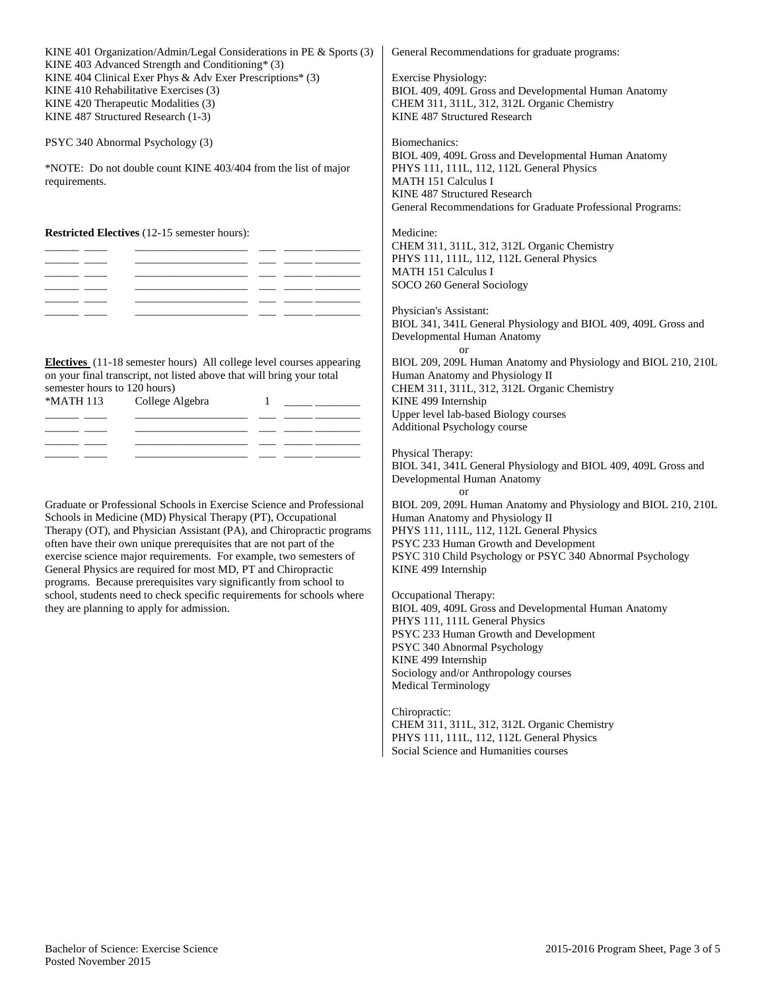| KINE 401 Organization/Admin/Legal Considerations in PE & Sports (3)<br>KINE 403 Advanced Strength and Conditioning* (3)                                                                                                                                                                                                                                                                                                                                                                                                                                                                                                 | General Recommendations for graduate programs:                                                                                                                                                                                                                                                                                                                                                 |
|-------------------------------------------------------------------------------------------------------------------------------------------------------------------------------------------------------------------------------------------------------------------------------------------------------------------------------------------------------------------------------------------------------------------------------------------------------------------------------------------------------------------------------------------------------------------------------------------------------------------------|------------------------------------------------------------------------------------------------------------------------------------------------------------------------------------------------------------------------------------------------------------------------------------------------------------------------------------------------------------------------------------------------|
| KINE 404 Clinical Exer Phys & Adv Exer Prescriptions* (3)<br>KINE 410 Rehabilitative Exercises (3)<br>KINE 420 Therapeutic Modalities (3)<br>KINE 487 Structured Research (1-3)                                                                                                                                                                                                                                                                                                                                                                                                                                         | <b>Exercise Physiology:</b><br>BIOL 409, 409L Gross and Developmental Human Anatomy<br>CHEM 311, 311L, 312, 312L Organic Chemistry<br>KINE 487 Structured Research                                                                                                                                                                                                                             |
| PSYC 340 Abnormal Psychology (3)                                                                                                                                                                                                                                                                                                                                                                                                                                                                                                                                                                                        | Biomechanics:                                                                                                                                                                                                                                                                                                                                                                                  |
| *NOTE: Do not double count KINE 403/404 from the list of major<br>requirements.                                                                                                                                                                                                                                                                                                                                                                                                                                                                                                                                         | BIOL 409, 409L Gross and Developmental Human Anatomy<br>PHYS 111, 111L, 112, 112L General Physics<br>MATH 151 Calculus I<br>KINE 487 Structured Research<br>General Recommendations for Graduate Professional Programs:                                                                                                                                                                        |
| <b>Restricted Electives</b> (12-15 semester hours):<br><u> 2000 - Jan James James, maria provinc</u><br>$\overline{\phantom{a}}$<br>$\overline{\phantom{a}}$                                                                                                                                                                                                                                                                                                                                                                                                                                                            | Medicine:<br>CHEM 311, 311L, 312, 312L Organic Chemistry<br>PHYS 111, 111L, 112, 112L General Physics<br>MATH 151 Calculus I<br>SOCO 260 General Sociology                                                                                                                                                                                                                                     |
| <u> 2000 - Jan James James James James Alexandro (</u>                                                                                                                                                                                                                                                                                                                                                                                                                                                                                                                                                                  | Physician's Assistant:<br>BIOL 341, 341L General Physiology and BIOL 409, 409L Gross and<br>Developmental Human Anatomy<br>or                                                                                                                                                                                                                                                                  |
| Electives (11-18 semester hours) All college level courses appearing<br>on your final transcript, not listed above that will bring your total<br>semester hours to 120 hours)<br>*MATH 113<br>College Algebra<br>_______                                                                                                                                                                                                                                                                                                                                                                                                | BIOL 209, 209L Human Anatomy and Physiology and BIOL 210, 210L<br>Human Anatomy and Physiology II<br>CHEM 311, 311L, 312, 312L Organic Chemistry<br>KINE 499 Internship<br>Upper level lab-based Biology courses<br>Additional Psychology course                                                                                                                                               |
| $\frac{1}{1}$                                                                                                                                                                                                                                                                                                                                                                                                                                                                                                                                                                                                           | Physical Therapy:<br>BIOL 341, 341L General Physiology and BIOL 409, 409L Gross and<br>Developmental Human Anatomy<br>or                                                                                                                                                                                                                                                                       |
| Graduate or Professional Schools in Exercise Science and Professional<br>Schools in Medicine (MD) Physical Therapy (PT), Occupational<br>Therapy (OT), and Physician Assistant (PA), and Chiropractic programs<br>often have their own unique prerequisites that are not part of the<br>exercise science major requirements. For example, two semesters of<br>General Physics are required for most MD, PT and Chiropractic<br>programs. Because prerequisites vary significantly from school to<br>school, students need to check specific requirements for schools where<br>they are planning to apply for admission. | BIOL 209, 209L Human Anatomy and Physiology and BIOL 210, 210L<br>Human Anatomy and Physiology II<br>PHYS 111, 111L, 112, 112L General Physics<br>PSYC 233 Human Growth and Development<br>PSYC 310 Child Psychology or PSYC 340 Abnormal Psychology<br>KINE 499 Internship<br>Occupational Therapy:<br>BIOL 409, 409L Gross and Developmental Human Anatomy<br>PHYS 111, 111L General Physics |
|                                                                                                                                                                                                                                                                                                                                                                                                                                                                                                                                                                                                                         | PSYC 233 Human Growth and Development<br>PSYC 340 Abnormal Psychology<br>KINE 499 Internship<br>Sociology and/or Anthropology courses<br><b>Medical Terminology</b>                                                                                                                                                                                                                            |
|                                                                                                                                                                                                                                                                                                                                                                                                                                                                                                                                                                                                                         | Chiropractic:<br>CHEM 311, 311L, 312, 312L Organic Chemistry                                                                                                                                                                                                                                                                                                                                   |

PHYS 111, 111L, 112, 112L General Physics Social Science and Humanities courses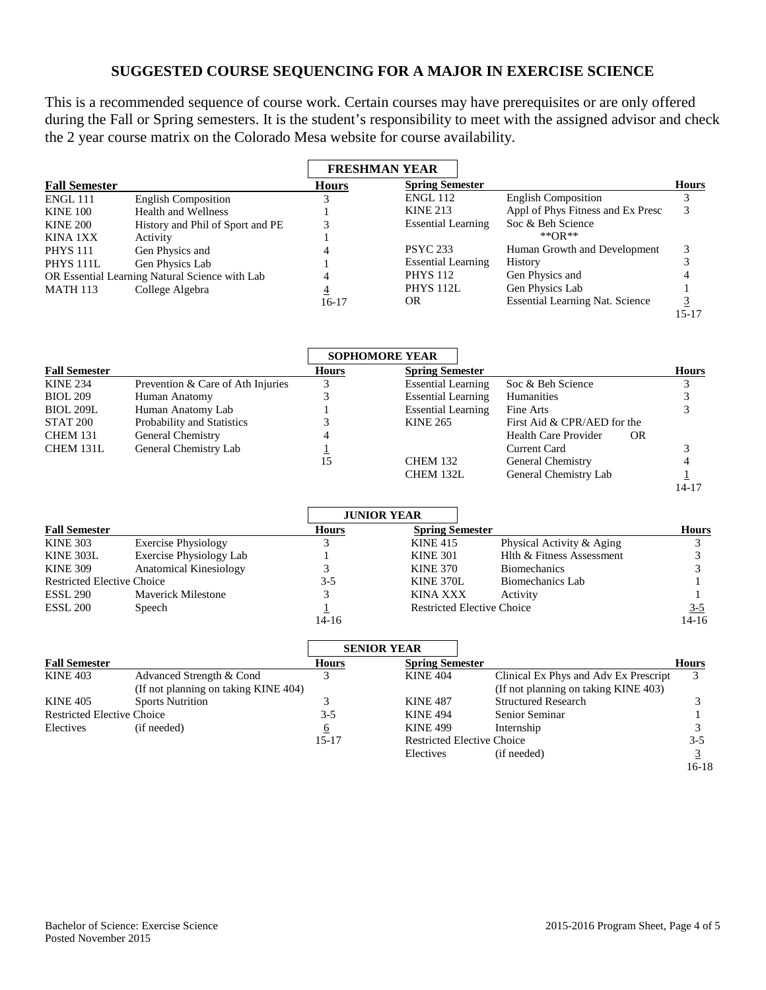## **SUGGESTED COURSE SEQUENCING FOR A MAJOR IN EXERCISE SCIENCE**

This is a recommended sequence of course work. Certain courses may have prerequisites or are only offered during the Fall or Spring semesters. It is the student's responsibility to meet with the assigned advisor and check the 2 year course matrix on the Colorado Mesa website for course availability.

|                      |                                                |              | <b>FRESHMAN YEAR</b>      |                                        |              |
|----------------------|------------------------------------------------|--------------|---------------------------|----------------------------------------|--------------|
| <b>Fall Semester</b> |                                                | <b>Hours</b> | <b>Spring Semester</b>    |                                        | <b>Hours</b> |
| <b>ENGL 111</b>      | <b>English Composition</b>                     |              | ENGL 112                  | <b>English Composition</b>             |              |
| <b>KINE 100</b>      | <b>Health and Wellness</b>                     |              | <b>KINE 213</b>           | Appl of Phys Fitness and Ex Presc      |              |
| <b>KINE 200</b>      | History and Phil of Sport and PE               |              | <b>Essential Learning</b> | Soc & Beh Science                      |              |
| KINA 1XX             | Activity                                       |              |                           | ** $OR$ **                             |              |
| <b>PHYS 111</b>      | Gen Physics and                                |              | <b>PSYC 233</b>           | Human Growth and Development           |              |
| PHYS <sub>111L</sub> | Gen Physics Lab                                |              | <b>Essential Learning</b> | History                                |              |
|                      | OR Essential Learning Natural Science with Lab |              | <b>PHYS 112</b>           | Gen Physics and                        |              |
| <b>MATH 113</b>      | College Algebra                                |              | <b>PHYS 112L</b>          | Gen Physics Lab                        |              |
|                      |                                                | $16-17$      | <b>OR</b>                 | <b>Essential Learning Nat. Science</b> |              |
|                      |                                                |              |                           |                                        | 15-17        |

|                      |                                   |              | <b>SOPHOMORE YEAR</b>     |                                   |              |
|----------------------|-----------------------------------|--------------|---------------------------|-----------------------------------|--------------|
| <b>Fall Semester</b> |                                   | <b>Hours</b> | <b>Spring Semester</b>    |                                   | <b>Hours</b> |
| <b>KINE 234</b>      | Prevention & Care of Ath Injuries |              | <b>Essential Learning</b> | Soc & Beh Science                 |              |
| <b>BIOL 209</b>      | Human Anatomy                     |              | <b>Essential Learning</b> | Humanities                        |              |
| <b>BIOL 209L</b>     | Human Anatomy Lab                 |              | <b>Essential Learning</b> | Fine Arts                         |              |
| STAT <sub>200</sub>  | Probability and Statistics        |              | <b>KINE 265</b>           | First Aid & CPR/AED for the       |              |
| <b>CHEM 131</b>      | General Chemistry                 |              |                           | Health Care Provider<br><b>OR</b> |              |
| CHEM 131L            | General Chemistry Lab             |              |                           | Current Card                      |              |
|                      |                                   | 5،           | <b>CHEM 132</b>           | General Chemistry                 |              |
|                      |                                   |              | CHEM 132L                 | General Chemistry Lab             |              |
|                      |                                   |              |                           |                                   | 14-17        |

|                                   |                                |              | <b>JUNIOR YEAR</b>                |                           |              |
|-----------------------------------|--------------------------------|--------------|-----------------------------------|---------------------------|--------------|
| <b>Fall Semester</b>              |                                | <b>Hours</b> | <b>Spring Semester</b>            |                           | <b>Hours</b> |
| <b>KINE 303</b>                   | <b>Exercise Physiology</b>     |              | <b>KINE 415</b>                   | Physical Activity & Aging |              |
| KINE 303L                         | <b>Exercise Physiology Lab</b> |              | <b>KINE 301</b>                   | Hlth & Fitness Assessment |              |
| <b>KINE 309</b>                   | Anatomical Kinesiology         |              | <b>KINE 370</b>                   | <b>Biomechanics</b>       |              |
| <b>Restricted Elective Choice</b> |                                | $3-5$        | KINE 370L                         | Biomechanics Lab          |              |
| <b>ESSL 290</b>                   | Maverick Milestone             |              | <b>KINA XXX</b>                   | Activity                  |              |
| ESSL 200                          | Speech                         |              | <b>Restricted Elective Choice</b> |                           | <u>3-5</u>   |
|                                   |                                | 14-16        |                                   |                           | $14-16$      |

|                                   |                                      | <b>SENIOR YEAR</b> |                                   |                                       |              |
|-----------------------------------|--------------------------------------|--------------------|-----------------------------------|---------------------------------------|--------------|
| <b>Fall Semester</b>              |                                      | <b>Hours</b>       | <b>Spring Semester</b>            |                                       | <b>Hours</b> |
| <b>KINE 403</b>                   | Advanced Strength & Cond             |                    | <b>KINE 404</b>                   | Clinical Ex Phys and Adv Ex Prescript | 3            |
|                                   | (If not planning on taking KINE 404) |                    |                                   | (If not planning on taking KINE 403)  |              |
| <b>KINE 405</b>                   | <b>Sports Nutrition</b>              |                    | <b>KINE 487</b>                   | <b>Structured Research</b>            |              |
| <b>Restricted Elective Choice</b> |                                      | $3 - 5$            | <b>KINE 494</b>                   | Senior Seminar                        |              |
| Electives                         | (if needed)                          |                    | <b>KINE 499</b>                   | Internship                            |              |
|                                   |                                      | $15 - 17$          | <b>Restricted Elective Choice</b> |                                       | $3 - 5$      |
|                                   |                                      |                    | Electives                         | (if needed)                           |              |
|                                   |                                      |                    |                                   |                                       | 16-18        |